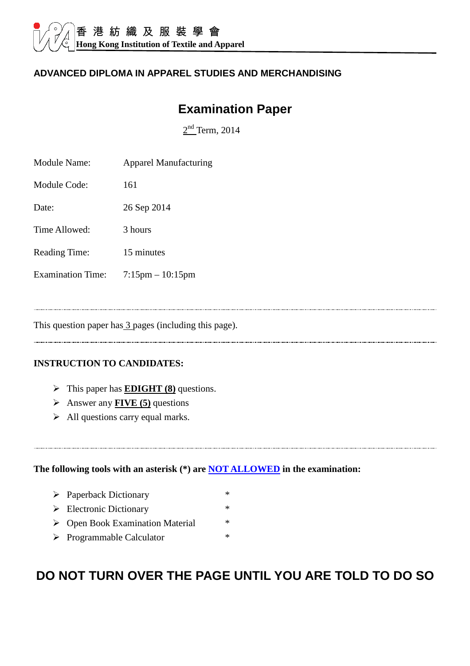#### **ADVANCED DIPLOMA IN APPAREL STUDIES AND MERCHANDISING**

# **Examination Paper**

 $2<sup>nd</sup>$  Term, 2014

| Module Name:             | <b>Apparel Manufacturing</b> |
|--------------------------|------------------------------|
| Module Code:             | 161                          |
| Date:                    | 26 Sep 2014                  |
| Time Allowed:            | 3 hours                      |
| <b>Reading Time:</b>     | 15 minutes                   |
| <b>Examination Time:</b> | $7:15$ pm $-10:15$ pm        |

This question paper has 3 pages (including this page).

#### **INSTRUCTION TO CANDIDATES:**

- This paper has **EDIGHT (8)** questions.
- Answer any **FIVE (5)** questions
- $\triangleright$  All questions carry equal marks.

**The following tools with an asterisk (\*) are NOT ALLOWED in the examination:** 

- Paperback Dictionary \*
- $\triangleright$  Electronic Dictionary \*
- ▶ Open Book Examination Material \*
- > Programmable Calculator \*

# **DO NOT TURN OVER THE PAGE UNTIL YOU ARE TOLD TO DO SO**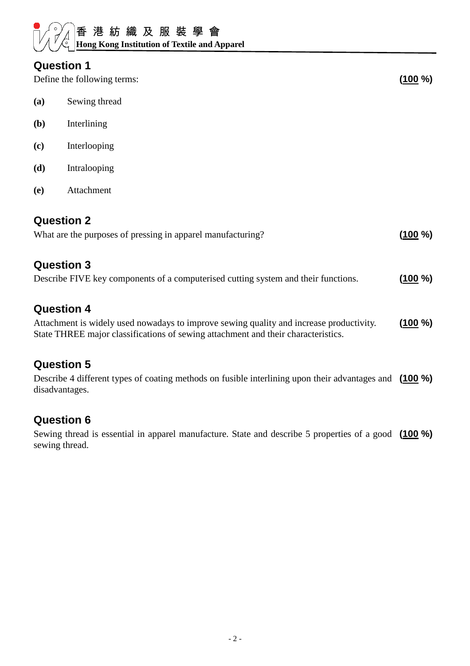#### **Question 1**

Define the following terms: **(100 %) (100 %)** 

- **(a)** Sewing thread
- **(b)** Interlining
- **(c)** Interlooping
- **(d)** Intralooping
- **(e)** Attachment

#### **Question 2**

| What are the purposes of pressing in apparel manufacturing?                                             | (100 %)   |
|---------------------------------------------------------------------------------------------------------|-----------|
| <b>Question 3</b><br>Describe FIVE key components of a computerised cutting system and their functions. | $(100\%)$ |
|                                                                                                         |           |

### **Question 4**

Attachment is widely used nowadays to improve sewing quality and increase productivity. State THREE major classifications of sewing attachment and their characteristics. **(100 %)**

### **Question 5**

Describe 4 different types of coating methods on fusible interlining upon their advantages and **(100 %)** disadvantages.

## **Question 6**

Sewing thread is essential in apparel manufacture. State and describe 5 properties of a good **(100 %)**sewing thread.